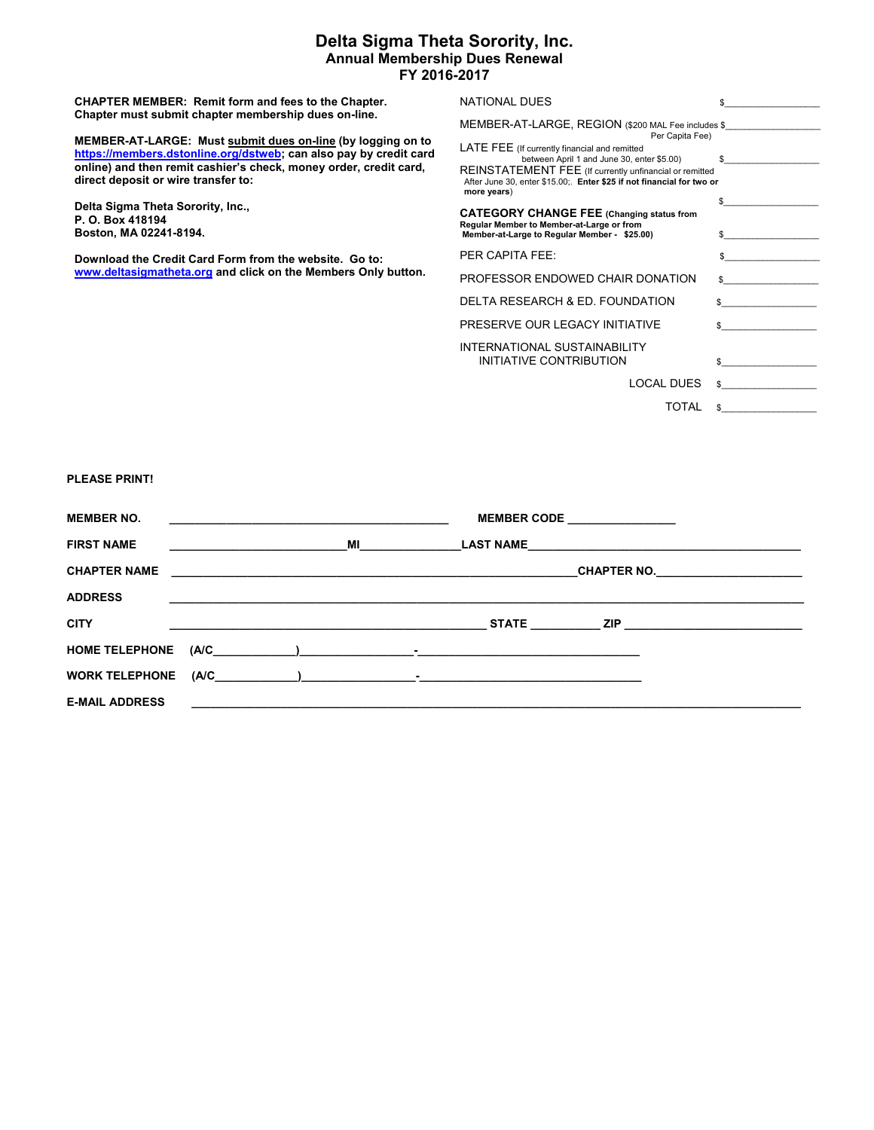## **Delta Sigma Theta Sorority, Inc. Annual Membership Dues Renewal FY 2016-2017**

**CHAPTER MEMBER: Remit form and fees to the Chapter. Chapter must submit chapter membership dues on-line. MEMBER-AT-LARGE: Must submit dues on-line (by logging on to https://members.dstonline.org/dstweb; can also pay by credit card online) and then remit cashier's check, money order, credit card, direct deposit or wire transfer to: Delta Sigma Theta Sorority, Inc., P. O. Box 418194 Boston, MA 02241-8194. Download the Credit Card Form from the website. Go to: www.deltasigmatheta.org and click on the Members Only button.**  NATIONAL DUES \$ MEMBER-AT-LARGE, REGION (\$200 MAL Fee includes \$ Per Capita Fee) LATE FEE (If currently financial and remitted between April 1 and June 30, enter \$5.00) \$\_\_\_\_\_\_\_\_\_\_\_\_\_\_\_\_\_\_\_\_ REINSTATEMENT FEE (If currently unfinancial or remitted After June 30, enter \$15.00;. **Enter \$25 if not financial for two or more years**) \$\_\_\_\_\_\_\_\_\_\_\_\_\_\_\_\_\_\_\_\_ **CATEGORY CHANGE FEE (Changing status from**  Regular Member to Member-at-Large or from<br>Member-at-Large to Regular Member - \$25.00) \$ PER CAPITA FEE:  $\qquad \qquad$ PROFESSOR ENDOWED CHAIR DONATION DELTA RESEARCH & ED. FOUNDATION \$ PRESERVE OUR LEGACY INITIATIVE  $\qquad \qquad$  \$ INTERNATIONAL SUSTAINABILITY INITIATIVE CONTRIBUTION LOCAL DUES \$ TOTAL \$ **PLEASE PRINT! MEMBER NO. \_\_\_\_\_\_\_\_\_\_\_\_\_\_\_\_\_\_\_\_\_\_\_\_\_\_\_\_\_\_\_\_\_\_\_\_\_\_\_\_\_\_\_\_ MEMBER CODE \_\_\_\_\_\_\_\_\_\_\_\_\_\_\_\_\_ FIRST NAME \_\_\_\_\_\_\_\_\_\_\_\_\_\_\_\_\_\_\_\_\_\_\_\_\_\_\_\_MI\_\_\_\_\_\_\_\_\_\_\_\_\_\_\_\_LAST NAME\_\_\_\_\_\_\_\_\_\_\_\_\_\_\_\_\_\_\_\_\_\_\_\_\_\_\_\_\_\_\_\_\_\_\_\_\_\_\_\_\_\_\_ CHAPTER NAME \_\_\_\_\_\_\_\_\_\_\_\_\_\_\_\_\_\_\_\_\_\_\_\_\_\_\_\_\_\_\_\_\_\_\_\_\_\_\_\_\_\_\_\_\_\_\_\_\_\_\_\_\_\_\_\_\_\_\_\_\_\_\_\_CHAPTER NO.\_\_\_\_\_\_\_\_\_\_\_\_\_\_\_\_\_\_\_\_\_\_\_ ADDRESS \_\_\_\_\_\_\_\_\_\_\_\_\_\_\_\_\_\_\_\_\_\_\_\_\_\_\_\_\_\_\_\_\_\_\_\_\_\_\_\_\_\_\_\_\_\_\_\_\_\_\_\_\_\_\_\_\_\_\_\_\_\_\_\_\_\_\_\_\_\_\_\_\_\_\_\_\_\_\_\_\_\_\_\_\_\_\_\_\_\_\_\_\_\_\_\_\_\_\_\_** 

**CITY \_\_\_\_\_\_\_\_\_\_\_\_\_\_\_\_\_\_\_\_\_\_\_\_\_\_\_\_\_\_\_\_\_\_\_\_\_\_\_\_\_\_\_\_\_\_\_\_\_\_ STATE \_\_\_\_\_\_\_\_\_\_\_ ZIP \_\_\_\_\_\_\_\_\_\_\_\_\_\_\_\_\_\_\_\_\_\_\_\_\_\_\_\_** 

**HOME TELEPHONE (A/C\_\_\_\_\_\_\_\_\_\_\_\_\_)\_\_\_\_\_\_\_\_\_\_\_\_\_\_\_\_\_\_-\_\_\_\_\_\_\_\_\_\_\_\_\_\_\_\_\_\_\_\_\_\_\_\_\_\_\_\_\_\_\_\_\_\_\_** 

**WORK TELEPHONE (A/C\_\_\_\_\_\_\_\_\_\_\_\_\_)\_\_\_\_\_\_\_\_\_\_\_\_\_\_\_\_\_\_-\_\_\_\_\_\_\_\_\_\_\_\_\_\_\_\_\_\_\_\_\_\_\_\_\_\_\_\_\_\_\_\_\_\_\_** 

**E-MAIL ADDRESS**